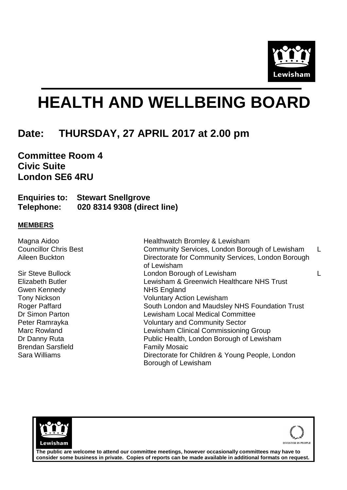

## **HEALTH AND WELLBEING BOARD**

## **Date: THURSDAY, 27 APRIL 2017 at 2.00 pm**

**Committee Room 4 Civic Suite London SE6 4RU**

**Enquiries to: Stewart Snellgrove Telephone: 020 8314 9308 (direct line)**

## **MEMBERS**

| Magna Aidoo                  | Healthwatch Bromley & Lewisham                                         |  |
|------------------------------|------------------------------------------------------------------------|--|
| <b>Councillor Chris Best</b> | Community Services, London Borough of Lewisham                         |  |
| Aileen Buckton               | Directorate for Community Services, London Borough<br>of Lewisham      |  |
| <b>Sir Steve Bullock</b>     | London Borough of Lewisham                                             |  |
| <b>Elizabeth Butler</b>      | Lewisham & Greenwich Healthcare NHS Trust                              |  |
| <b>Gwen Kennedy</b>          | NHS England                                                            |  |
| <b>Tony Nickson</b>          | <b>Voluntary Action Lewisham</b>                                       |  |
| <b>Roger Paffard</b>         | South London and Maudsley NHS Foundation Trust                         |  |
| Dr Simon Parton              | <b>Lewisham Local Medical Committee</b>                                |  |
| Peter Ramrayka               | <b>Voluntary and Community Sector</b>                                  |  |
| Marc Rowland                 | Lewisham Clinical Commissioning Group                                  |  |
| Dr Danny Ruta                | Public Health, London Borough of Lewisham                              |  |
| <b>Brendan Sarsfield</b>     | <b>Family Mosaic</b>                                                   |  |
| Sara Williams                | Directorate for Children & Young People, London<br>Borough of Lewisham |  |